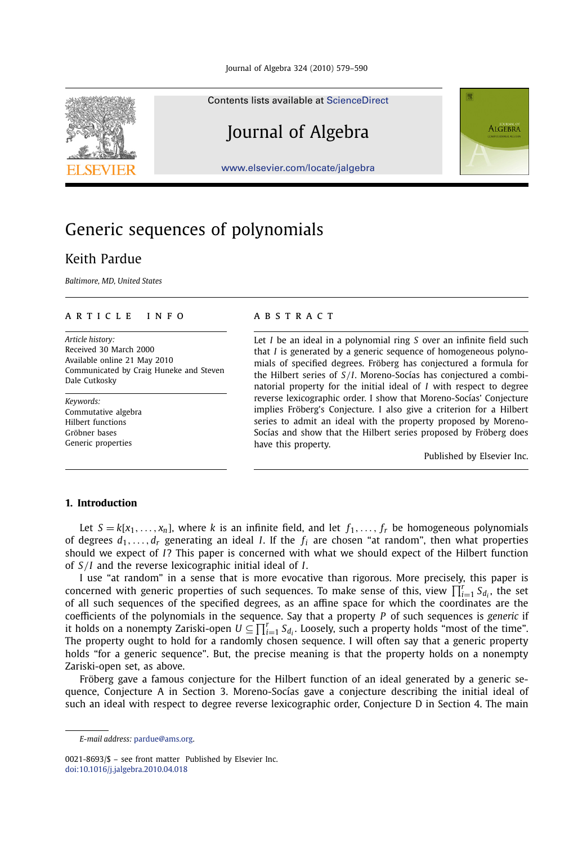

#### Contents lists available at [ScienceDirect](http://www.ScienceDirect.com/)

# Journal of Algebra

**ALGEBRA** 

[www.elsevier.com/locate/jalgebra](http://www.elsevier.com/locate/jalgebra)

# Generic sequences of polynomials

# Keith Pardue

*Baltimore, MD, United States*

### article info abstract

*Article history:* Received 30 March 2000 Available online 21 May 2010 Communicated by Craig Huneke and Steven Dale Cutkosky

*Keywords:* Commutative algebra Hilbert functions Gröbner bases Generic properties

Let *I* be an ideal in a polynomial ring *S* over an infinite field such that *I* is generated by a generic sequence of homogeneous polynomials of specified degrees. Fröberg has conjectured a formula for the Hilbert series of *S/I*. Moreno-Socías has conjectured a combinatorial property for the initial ideal of *I* with respect to degree reverse lexicographic order. I show that Moreno-Socías' Conjecture implies Fröberg's Conjecture. I also give a criterion for a Hilbert series to admit an ideal with the property proposed by Moreno-Socías and show that the Hilbert series proposed by Fröberg does have this property.

Published by Elsevier Inc.

## **1. Introduction**

Let  $S = k[x_1, \ldots, x_n]$ , where *k* is an infinite field, and let  $f_1, \ldots, f_r$  be homogeneous polynomials of degrees  $d_1, \ldots, d_r$  generating an ideal *I*. If the  $f_i$  are chosen "at random", then what properties should we expect of *I*? This paper is concerned with what we should expect of the Hilbert function of *S/I* and the reverse lexicographic initial ideal of *I*.

I use "at random" in a sense that is more evocative than rigorous. More precisely, this paper is concerned with generic properties of such sequences. To make sense of this, view  $\prod_{i=1}^{r} S_{d_i}$ , the set of all such sequences of the specified degrees, as an affine space for which the coordinates are the coefficients of the polynomials in the sequence. Say that a property *P* of such sequences is *generic* if it holds on a nonempty Zariski-open  $U\subseteq\prod_{i=1}^rS_{d_i}.$  Loosely, such a property holds "most of the time". The property ought to hold for a randomly chosen sequence. I will often say that a generic property holds "for a generic sequence". But, the precise meaning is that the property holds on a nonempty Zariski-open set, as above.

Fröberg gave a famous conjecture for the Hilbert function of an ideal generated by a generic sequence, Conjecture A in Section 3. Moreno-Socías gave a conjecture describing the initial ideal of such an ideal with respect to degree reverse lexicographic order, Conjecture D in Section 4. The main

*E-mail address:* [pardue@ams.org.](mailto:pardue@ams.org)

<sup>0021-8693/\$ –</sup> see front matter Published by Elsevier Inc. [doi:10.1016/j.jalgebra.2010.04.018](http://dx.doi.org/10.1016/j.jalgebra.2010.04.018)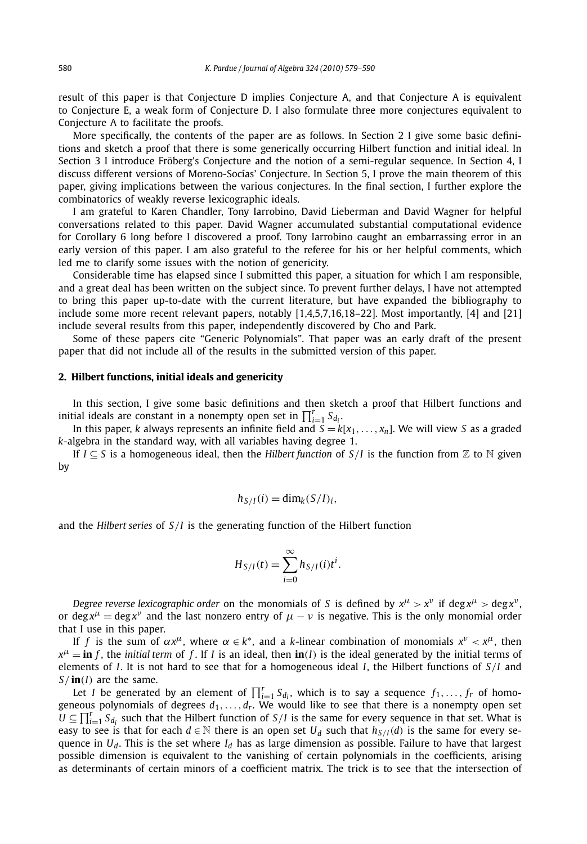result of this paper is that Conjecture D implies Conjecture A, and that Conjecture A is equivalent to Conjecture E, a weak form of Conjecture D. I also formulate three more conjectures equivalent to Conjecture A to facilitate the proofs.

More specifically, the contents of the paper are as follows. In Section 2 I give some basic definitions and sketch a proof that there is some generically occurring Hilbert function and initial ideal. In Section 3 I introduce Fröberg's Conjecture and the notion of a semi-regular sequence. In Section 4, I discuss different versions of Moreno-Socías' Conjecture. In Section 5, I prove the main theorem of this paper, giving implications between the various conjectures. In the final section, I further explore the combinatorics of weakly reverse lexicographic ideals.

I am grateful to Karen Chandler, Tony Iarrobino, David Lieberman and David Wagner for helpful conversations related to this paper. David Wagner accumulated substantial computational evidence for Corollary 6 long before I discovered a proof. Tony Iarrobino caught an embarrassing error in an early version of this paper. I am also grateful to the referee for his or her helpful comments, which led me to clarify some issues with the notion of genericity.

Considerable time has elapsed since I submitted this paper, a situation for which I am responsible, and a great deal has been written on the subject since. To prevent further delays, I have not attempted to bring this paper up-to-date with the current literature, but have expanded the bibliography to include some more recent relevant papers, notably [1,4,5,7,16,18–22]. Most importantly, [4] and [21] include several results from this paper, independently discovered by Cho and Park.

Some of these papers cite "Generic Polynomials". That paper was an early draft of the present paper that did not include all of the results in the submitted version of this paper.

#### **2. Hilbert functions, initial ideals and genericity**

In this section, I give some basic definitions and then sketch a proof that Hilbert functions and initial ideals are constant in a nonempty open set in  $\prod_{i=1}^r S_{d_i}.$ 

In this paper, *k* always represents an infinite field and  $S = k[x_1, \ldots, x_n]$ . We will view *S* as a graded *k*-algebra in the standard way, with all variables having degree 1.

If  $I ⊂ S$  is a homogeneous ideal, then the *Hilbert function* of  $S/I$  is the function from  $\mathbb Z$  to  $\mathbb N$  given by

$$
h_{S/I}(i) = \dim_k(S/I)_i,
$$

and the *Hilbert series* of *S/I* is the generating function of the Hilbert function

$$
H_{S/I}(t) = \sum_{i=0}^{\infty} h_{S/I}(i) t^{i}.
$$

*Degree reverse lexicographic order* on the monomials of *S* is defined by  $x^{\mu} > x^{\nu}$  if deg  $x^{\mu} > \text{deg } x^{\nu}$ , or deg  $x^{\mu}$  = deg  $x^{\nu}$  and the last nonzero entry of  $\mu - \nu$  is negative. This is the only monomial order that I use in this paper.

If *f* is the sum of  $\alpha x^{\mu}$ , where  $\alpha \in k^*$ , and a *k*-linear combination of monomials  $x^{\nu} \lt x^{\mu}$ , then  $x^{\mu}$  = **in** *f*, the *initial term* of *f*. If *I* is an ideal, then **in**(*I*) is the ideal generated by the initial terms of elements of *I*. It is not hard to see that for a homogeneous ideal *I*, the Hilbert functions of *S/I* and *S/* **in***(I)* are the same.

Let *I* be generated by an element of  $\prod_{i=1}^{r} S_{d_i}$ , which is to say a sequence  $f_1, \ldots, f_r$  of homogeneous polynomials of degrees  $d_1, \ldots, d_r$ . We would like to see that there is a nonempty open set  $U \subseteq \prod_{i=1}^r S_{d_i}$  such that the Hilbert function of  $S/I$  is the same for every sequence in that set. What is easy to see is that for each  $d \in \mathbb{N}$  there is an open set  $U_d$  such that  $h_{S/I}(d)$  is the same for every sequence in  $U_d$ . This is the set where  $I_d$  has as large dimension as possible. Failure to have that largest possible dimension is equivalent to the vanishing of certain polynomials in the coefficients, arising as determinants of certain minors of a coefficient matrix. The trick is to see that the intersection of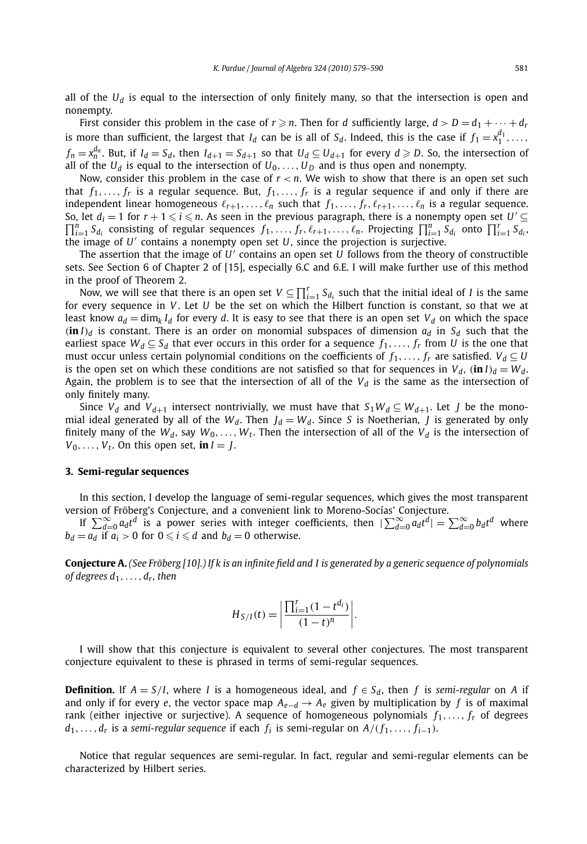all of the  $U_d$  is equal to the intersection of only finitely many, so that the intersection is open and nonempty.

First consider this problem in the case of  $r \geqslant n$ . Then for *d* sufficiently large,  $d > D = d_1 + \cdots + d_r$ is more than sufficient, the largest that *I<sub>d</sub>* can be is all of *S<sub>d</sub>*. Indeed, this is the case if  $f_1 = x_1^{d_1}, \ldots$ ,  $f_n = x_n^{d_n}$ . But, if  $I_d = S_d$ , then  $I_{d+1} = S_{d+1}$  so that  $U_d \subseteq U_{d+1}$  for every  $d \geqslant D$ . So, the intersection of all of the  $U_d$  is equal to the intersection of  $U_0, \ldots, U_D$  and is thus open and nonempty.

Now, consider this problem in the case of  $r < n$ . We wish to show that there is an open set such that  $f_1, \ldots, f_r$  is a regular sequence. But,  $f_1, \ldots, f_r$  is a regular sequence if and only if there are independent linear homogeneous  $\ell_{r+1}, \ldots, \ell_n$  such that  $f_1, \ldots, f_r, \ell_{r+1}, \ldots, \ell_n$  is a regular sequence. So, let  $d_i = 1$  for  $r + 1 \le i \le n$ . As seen in the previous paragraph, there is a nonempty open set  $U' \subseteq \prod^n S$ , consisting of regular sequences  $f_i$ ,  $f_i \circ f_j$ ,  $g_j$ , projecting  $\Pi^n S$ , onto  $\Pi^r S_j$ .  $\prod_{i=1}^{n} S_{d_i}$  consisting of regular sequences  $f_1, \ldots, f_r, \ell_{r+1}, \ldots, \ell_n$ . Projecting  $\prod_{i=1}^{n} S_{d_i}$  onto  $\prod_{i=1}^{r} S_{d_i}$ , the image of  $U'$  contains a nonempty open set  $U$ , since the projection is surjective.

The assertion that the image of *U* contains an open set *U* follows from the theory of constructible sets. See Section 6 of Chapter 2 of [15], especially 6.C and 6.E. I will make further use of this method in the proof of Theorem 2.

Now, we will see that there is an open set  $V \subseteq \prod_{i=1}^r S_{d_i}$  such that the initial ideal of *I* is the same for every sequence in *V* . Let *U* be the set on which the Hilbert function is constant, so that we at least know  $a_d = \dim_k I_d$  for every *d*. It is easy to see that there is an open set  $V_d$  on which the space  $(i\mathbf{n} I)$ <sup>*d*</sup> is constant. There is an order on monomial subspaces of dimension  $a_d$  in  $S_d$  such that the earliest space  $W_d \subset S_d$  that ever occurs in this order for a sequence  $f_1, \ldots, f_r$  from *U* is the one that must occur unless certain polynomial conditions on the coefficients of  $f_1, \ldots, f_r$  are satisfied.  $V_d \subseteq U$ is the open set on which these conditions are not satisfied so that for sequences in  $V_d$ ,  $(i\mathbf{n} I)_d = W_d$ . Again, the problem is to see that the intersection of all of the  $V_d$  is the same as the intersection of only finitely many.

Since  $V_d$  and  $V_{d+1}$  intersect nontrivially, we must have that  $S_1 W_d \subseteq W_{d+1}$ . Let *J* be the monomial ideal generated by all of the  $W_d$ . Then  $J_d = W_d$ . Since *S* is Noetherian, *J* is generated by only finitely many of the  $W_d$ , say  $W_0, \ldots, W_t$ . Then the intersection of all of the  $V_d$  is the intersection of  $V_0, \ldots, V_t$ . On this open set, **in**  $I = J$ .

#### **3. Semi-regular sequences**

In this section, I develop the language of semi-regular sequences, which gives the most transparent version of Fröberg's Conjecture, and a convenient link to Moreno-Socías' Conjecture.

If  $\sum_{d=0}^{\infty} a_d t^d$  is a power series with integer coefficients, then  $|\sum_{d=0}^{\infty} a_d t^d| = \sum_{d=0}^{\infty} b_d t^d$  where  $b_d = a_d$  if  $a_i > 0$  for  $0 \le i \le d$  and  $b_d = 0$  otherwise.

**Conjecture A.** *(See Fröberg [10].) If k is an infinite field and I is generated by a generic sequence of polynomials of degrees d*1*,...,dr, then*

$$
H_{S/I}(t) = \left| \frac{\prod_{i=1}^{r} (1 - t^{d_i})}{(1 - t)^n} \right|.
$$

I will show that this conjecture is equivalent to several other conjectures. The most transparent conjecture equivalent to these is phrased in terms of semi-regular sequences.

**Definition.** If  $A = S/I$ , where *I* is a homogeneous ideal, and  $f \in S_d$ , then *f* is *semi-regular* on *A* if and only if for every *e*, the vector space map  $A_{e-d} \rightarrow A_e$  given by multiplication by *f* is of maximal rank (either injective or surjective). A sequence of homogeneous polynomials  $f_1, \ldots, f_r$  of degrees *d*<sub>1</sub>*,...,d*<sub>*r*</sub> is a *semi-regular sequence* if each *f<sub>i</sub>* is semi-regular on *A/*(*f*<sub>1</sub>*,..., f*<sub>*i*−1</sub>*)*.

Notice that regular sequences are semi-regular. In fact, regular and semi-regular elements can be characterized by Hilbert series.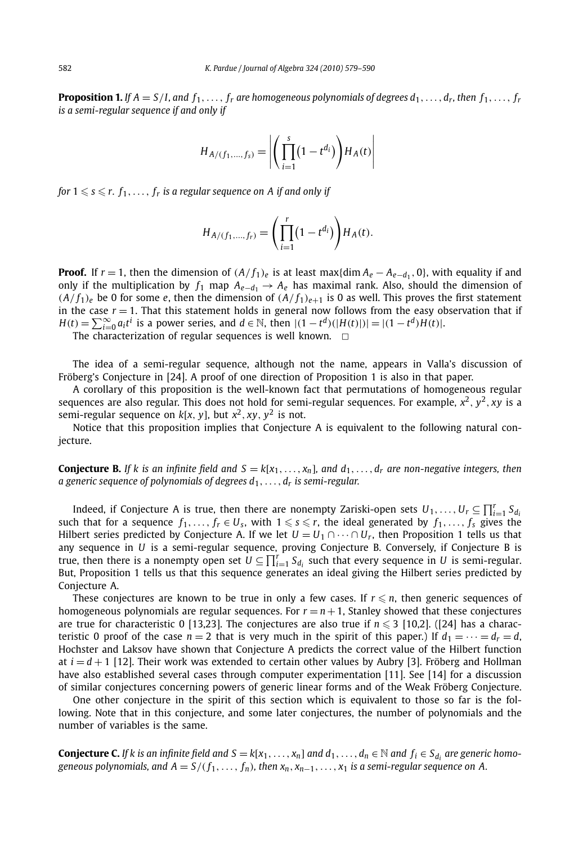**Proposition 1.** If  $A = S/I$ , and  $f_1, \ldots, f_r$  are homogeneous polynomials of degrees  $d_1, \ldots, d_r$ , then  $f_1, \ldots, f_r$ *is a semi-regular sequence if and only if*

$$
H_{A/(f_1,...,f_s)} = \left| \left( \prod_{i=1}^{s} (1 - t^{d_i}) \right) H_A(t) \right|
$$

*for*  $1 \le s \le r$ .  $f_1, \ldots, f_r$  *is a regular sequence on A if and only if* 

$$
H_{A/(f_1,...,f_r)} = \left(\prod_{i=1}^r (1-t^{d_i})\right) H_A(t).
$$

**Proof.** If  $r = 1$ , then the dimension of  $(A/f_1)_e$  is at least max{dim  $A_e - A_{e-d_1}$ , 0}, with equality if and only if the multiplication by  $f_1$  map  $A_{e-d_1} \rightarrow A_e$  has maximal rank. Also, should the dimension of  $(A/f_1)_e$  be 0 for some *e*, then the dimension of  $(A/f_1)_{e+1}$  is 0 as well. This proves the first statement in the case  $r = 1$ . That this statement holds in general now follows from the easy observation that if  $H(t) = \sum_{i=0}^{\infty} a_i t^i$  is a power series, and  $d \in \mathbb{N}$ , then  $|(1 - t^d)(|H(t)|)| = |(1 - t^d)H(t)|$ .

The characterization of regular sequences is well known.  $\Box$ 

The idea of a semi-regular sequence, although not the name, appears in Valla's discussion of Fröberg's Conjecture in [24]. A proof of one direction of Proposition 1 is also in that paper.

A corollary of this proposition is the well-known fact that permutations of homogeneous regular sequences are also regular. This does not hold for semi-regular sequences. For example,  $x^2$ ,  $y^2$ ,  $xy$  is a semi-regular sequence on  $k[x, y]$ , but  $x^2$ ,  $xy$ ,  $y^2$  is not.

Notice that this proposition implies that Conjecture A is equivalent to the following natural conjecture.

**Conjecture B.** If k is an infinite field and  $S = k[x_1, \ldots, x_n]$ , and  $d_1, \ldots, d_r$  are non-negative integers, then *a generic sequence of polynomials of degrees d*1*,...,dr is semi-regular.*

Indeed, if Conjecture A is true, then there are nonempty Zariski-open sets  $U_1,\ldots,U_r\subseteq\prod_{i=1}^rS_{d_i}$ such that for a sequence  $f_1, \ldots, f_r \in U_s$ , with  $1 \leq s \leq r$ , the ideal generated by  $f_1, \ldots, f_s$  gives the Hilbert series predicted by Conjecture A. If we let  $U = U_1 \cap \cdots \cap U_r$ , then Proposition 1 tells us that any sequence in *U* is a semi-regular sequence, proving Conjecture B. Conversely, if Conjecture B is true, then there is a nonempty open set  $U \subseteq \prod_{i=1}^r S_{d_i}$  such that every sequence in  $U$  is semi-regular. But, Proposition 1 tells us that this sequence generates an ideal giving the Hilbert series predicted by Conjecture A.

These conjectures are known to be true in only a few cases. If  $r \leq n$ , then generic sequences of homogeneous polynomials are regular sequences. For  $r = n + 1$ , Stanley showed that these conjectures are true for characteristic 0 [13,23]. The conjectures are also true if  $n \leq 3$  [10,2]. ([24] has a characteristic 0 proof of the case  $n = 2$  that is very much in the spirit of this paper.) If  $d_1 = \cdots = d_r = d$ , Hochster and Laksov have shown that Conjecture A predicts the correct value of the Hilbert function at  $i = d + 1$  [12]. Their work was extended to certain other values by Aubry [3]. Fröberg and Hollman have also established several cases through computer experimentation [11]. See [14] for a discussion of similar conjectures concerning powers of generic linear forms and of the Weak Fröberg Conjecture.

One other conjecture in the spirit of this section which is equivalent to those so far is the following. Note that in this conjecture, and some later conjectures, the number of polynomials and the number of variables is the same.

**Conjecture C.** *If k* is an infinite field and  $S = k[x_1, \ldots, x_n]$  and  $d_1, \ldots, d_n \in \mathbb{N}$  and  $f_i \in S_{d_i}$  are generic homo*geneous polynomials, and*  $A = S/(f_1, \ldots, f_n)$ , then  $x_n, x_{n-1}, \ldots, x_1$  *is a semi-regular sequence on* A.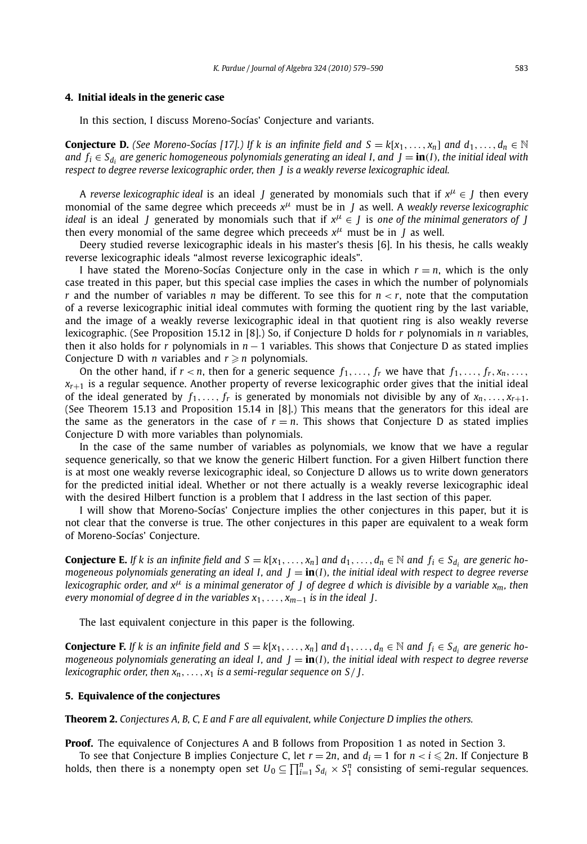#### **4. Initial ideals in the generic case**

In this section, I discuss Moreno-Socías' Conjecture and variants.

**Conjecture D.** (See Moreno-Socías [17].) If k is an infinite field and  $S = k[x_1, \ldots, x_n]$  and  $d_1, \ldots, d_n \in \mathbb{N}$ *and*  $f_i \in S_d$  *are generic homogeneous polynomials generating an ideal I, and*  $J = \textbf{in}(I)$ *, the initial ideal with respect to degree reverse lexicographic order, then J is a weakly reverse lexicographic ideal.*

A *reverse lexicographic ideal* is an ideal *J* generated by monomials such that if  $x^{\mu} \in J$  then every monomial of the same degree which preceeds *x<sup>μ</sup>* must be in *J* as well. A *weakly reverse lexicographic ideal* is an ideal *J* generated by monomials such that if *x<sup>μ</sup>* ∈ *J* is *one of the minimal generators of J* then every monomial of the same degree which preceeds  $x^{\mu}$  must be in *J* as well.

Deery studied reverse lexicographic ideals in his master's thesis [6]. In his thesis, he calls weakly reverse lexicographic ideals "almost reverse lexicographic ideals".

I have stated the Moreno-Socías Conjecture only in the case in which  $r = n$ , which is the only case treated in this paper, but this special case implies the cases in which the number of polynomials *r* and the number of variables *n* may be different. To see this for *n < r*, note that the computation of a reverse lexicographic initial ideal commutes with forming the quotient ring by the last variable, and the image of a weakly reverse lexicographic ideal in that quotient ring is also weakly reverse lexicographic. (See Proposition 15.12 in [8].) So, if Conjecture D holds for *r* polynomials in *n* variables, then it also holds for *r* polynomials in *n* − 1 variables. This shows that Conjecture D as stated implies Conjecture D with *n* variables and  $r \geqslant n$  polynomials.

On the other hand, if  $r < n$ , then for a generic sequence  $f_1, \ldots, f_r$  we have that  $f_1, \ldots, f_r, x_n, \ldots$ , *xr*+<sup>1</sup> is a regular sequence. Another property of reverse lexicographic order gives that the initial ideal of the ideal generated by  $f_1, \ldots, f_r$  is generated by monomials not divisible by any of  $x_n, \ldots, x_{r+1}$ . (See Theorem 15.13 and Proposition 15.14 in [8].) This means that the generators for this ideal are the same as the generators in the case of  $r = n$ . This shows that Conjecture D as stated implies Conjecture D with more variables than polynomials.

In the case of the same number of variables as polynomials, we know that we have a regular sequence generically, so that we know the generic Hilbert function. For a given Hilbert function there is at most one weakly reverse lexicographic ideal, so Conjecture D allows us to write down generators for the predicted initial ideal. Whether or not there actually is a weakly reverse lexicographic ideal with the desired Hilbert function is a problem that I address in the last section of this paper.

I will show that Moreno-Socías' Conjecture implies the other conjectures in this paper, but it is not clear that the converse is true. The other conjectures in this paper are equivalent to a weak form of Moreno-Socías' Conjecture.

**Conjecture E.** If k is an infinite field and  $S = k[x_1, \ldots, x_n]$  and  $d_1, \ldots, d_n \in \mathbb{N}$  and  $f_i \in S_d$ , are generic ho*mogeneous polynomials generating an ideal I, and J* = **in***(I), the initial ideal with respect to degree reverse lexicographic order, and x<sup>μ</sup> is a minimal generator of J of degree d which is divisible by a variable x<sub>m</sub>, then every monomial of degree d in the variables*  $x_1, \ldots, x_{m-1}$  *is in the ideal J.* 

The last equivalent conjecture in this paper is the following.

**Conjecture F.** If k is an infinite field and  $S = k[x_1, \ldots, x_n]$  and  $d_1, \ldots, d_n \in \mathbb{N}$  and  $f_i \in S_{d_i}$  are generic ho*mogeneous polynomials generating an ideal I, and*  $J = \text{in}(I)$ *, the initial ideal with respect to degree reverse lexicographic order, then*  $x_n$ , ...,  $x_1$  *is a semi-regular sequence on*  $S/J$ .

#### **5. Equivalence of the conjectures**

**Theorem 2.** *Conjectures A, B, C, E and F are all equivalent, while Conjecture D implies the others.*

**Proof.** The equivalence of Conjectures A and B follows from Proposition 1 as noted in Section 3.

To see that Conjecture B implies Conjecture C, let  $r = 2n$ , and  $d_i = 1$  for  $n < i \le 2n$ . If Conjecture B holds, then there is a nonempty open set  $U_0 \subseteq \prod_{i=1}^n S_{d_i} \times S_1^n$  consisting of semi-regular sequences.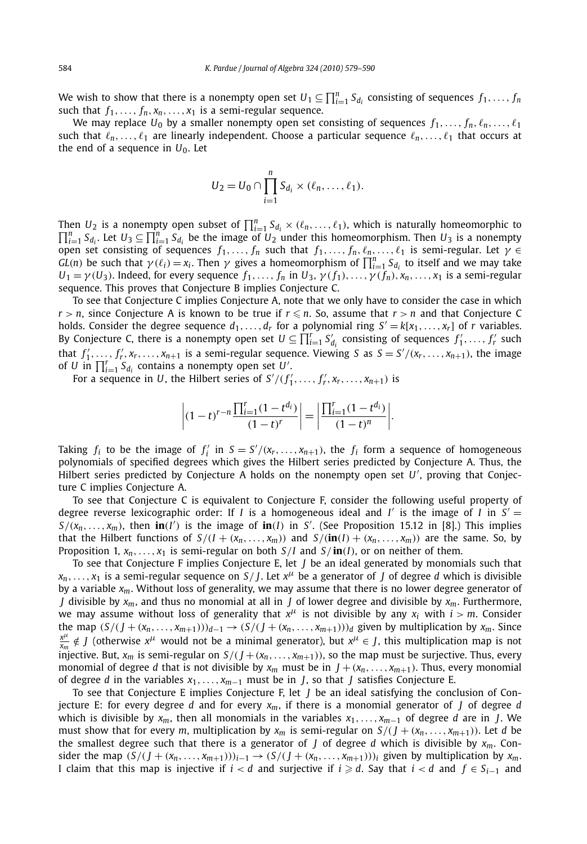We wish to show that there is a nonempty open set  $U_1 \subseteq \prod_{i=1}^n S_{d_i}$  consisting of sequences  $f_1, \ldots, f_n$ such that  $f_1, \ldots, f_n, x_n, \ldots, x_1$  is a semi-regular sequence.

We may replace  $U_0$  by a smaller nonempty open set consisting of sequences  $f_1, \ldots, f_n, \ell_n, \ldots, \ell_1$ such that  $\ell_n, \ldots, \ell_1$  are linearly independent. Choose a particular sequence  $\ell_n, \ldots, \ell_1$  that occurs at the end of a sequence in  $U_0$ . Let

$$
U_2=U_0\cap\prod_{i=1}^n S_{d_i}\times(\ell_n,\ldots,\ell_1).
$$

Then *U*<sub>2</sub> is a nonempty open subset of  $\prod_{i=1}^{n} S_{d_i} \times (\ell_n, \ldots, \ell_1)$ , which is naturally homeomorphic to  $\prod_{i=1}^{n} S_{d_i}$  is a nonempty *i*<sub>1</sub> $\prod_{i=1}^{n} S_{d_i}$ . Let  $U_3 \subseteq \prod_{i=1}^{n} S_{d_i}$  be the image of  $U_2$  under this homeomorphism. Then  $U_3$  is a nonempty open set consisting of sequences  $f_1, \ldots, f_n$  such that  $f_1, \ldots, f_n, \ell_n, \ldots, \ell_1$  is semi-regular. Let  $\gamma \in$ *GL*(*n*) be such that  $\gamma(\ell_i) = x_i$ . Then  $\gamma$  gives a homeomorphism of  $\prod_{i=1}^n S_{d_i}$  to itself and we may take  $U_1 = \gamma(U_3)$ . Indeed, for every sequence  $f_1, \ldots, f_n$  in  $U_3, \gamma(f_1), \ldots, \gamma(f_n), x_n, \ldots, x_1$  is a semi-regular sequence. This proves that Conjecture B implies Conjecture C.

To see that Conjecture C implies Conjecture A, note that we only have to consider the case in which  $r > n$ , since Conjecture A is known to be true if  $r \le n$ . So, assume that  $r > n$  and that Conjecture C holds. Consider the degree sequence  $d_1, \ldots, d_r$  for a polynomial ring  $S' = k[x_1, \ldots, x_r]$  of *r* variables. By Conjecture C, there is a nonempty open set  $U \subseteq \prod_{i=1}^r S_{d_i}$  consisting of sequences  $f'_1, \ldots, f'_r$  such that  $f'_1, \ldots, f'_r, x_r, \ldots, x_{n+1}$  is a semi-regular sequence. Viewing *S* as  $S = S'/(x_r, \ldots, x_{n+1})$ , the image of *U* in  $\prod_{i=1}^r S_{d_i}$  contains a nonempty open set *U'*.

For a sequence in *U*, the Hilbert series of  $S'/(f'_1, \ldots, f'_r, x_r, \ldots, x_{n+1})$  is

$$
\left| (1-t)^{r-n} \frac{\prod_{i=1}^r (1-t^{d_i})}{(1-t)^r} \right| = \left| \frac{\prod_{i=1}^r (1-t^{d_i})}{(1-t)^n} \right|.
$$

Taking  $f_i$  to be the image of  $f'_i$  in  $S = S'/(x_r, \ldots, x_{n+1})$ , the  $f_i$  form a sequence of homogeneous polynomials of specified degrees which gives the Hilbert series predicted by Conjecture A. Thus, the Hilbert series predicted by Conjecture A holds on the nonempty open set *U* , proving that Conjecture C implies Conjecture A.

To see that Conjecture C is equivalent to Conjecture F, consider the following useful property of degree reverse lexicographic order: If *I* is a homogeneous ideal and *I'* is the image of *I* in  $S' =$  $S/(x_n, \ldots, x_m)$ , then  $\mathbf{in}(I')$  is the image of  $\mathbf{in}(I)$  in *S'*. (See Proposition 15.12 in [8].) This implies that the Hilbert functions of  $S/(I + (x_n, ..., x_m))$  and  $S/(\textbf{in}(I) + (x_n, ..., x_m))$  are the same. So, by Proposition 1,  $x_n, \ldots, x_1$  is semi-regular on both  $S/I$  and  $S/\text{in}(I)$ , or on neither of them.

To see that Conjecture F implies Conjecture E, let *J* be an ideal generated by monomials such that  $x_n$ ,..., $x_1$  is a semi-regular sequence on *S*/*J*. Let  $x^\mu$  be a generator of *J* of degree *d* which is divisible by a variable *xm*. Without loss of generality, we may assume that there is no lower degree generator of *J* divisible by *xm*, and thus no monomial at all in *J* of lower degree and divisible by *xm*. Furthermore, we may assume without loss of generality that  $x^{\mu}$  is not divisible by any  $x_i$  with  $i > m$ . Consider the map  $(S/(J+(x_n,\ldots,x_{m+1})))_{d-1} \rightarrow (S/(J+(x_n,\ldots,x_{m+1})))_d$  given by multiplication by  $x_m$ . Since  $\frac{x^{\mu}}{x_m} \notin J$  (otherwise  $x^{\mu}$  would not be a minimal generator), but  $x^{\mu} \in J$ , this multiplication map is not injective. But,  $x_m$  is semi-regular on  $S/(J + (x_n, \ldots, x_{m+1}))$ , so the map must be surjective. Thus, every monomial of degree *d* that is not divisible by  $x_m$  must be in  $J + (x_n, \ldots, x_{m+1})$ . Thus, every monomial of degree *d* in the variables *x*1*,..., xm*−<sup>1</sup> must be in *J*, so that *J* satisfies Conjecture E.

To see that Conjecture E implies Conjecture F, let *J* be an ideal satisfying the conclusion of Conjecture E: for every degree *d* and for every  $x_m$ , if there is a monomial generator of *J* of degree *d* which is divisible by *xm*, then all monomials in the variables *x*1*,..., xm*−<sup>1</sup> of degree *d* are in *J*. We must show that for every *m*, multiplication by  $x_m$  is semi-regular on  $S/(J + (x_n, \ldots, x_{m+1}))$ . Let *d* be the smallest degree such that there is a generator of  $J$  of degree  $d$  which is divisible by  $x_m$ . Consider the map  $(S/(J+(x_n,\ldots,x_{m+1})))_{i-1}\to (S/(J+(x_n,\ldots,x_{m+1})))_i$  given by multiplication by  $x_m$ . I claim that this map is injective if  $i < d$  and surjective if  $i \geq d$ . Say that  $i < d$  and  $f \in S_{i-1}$  and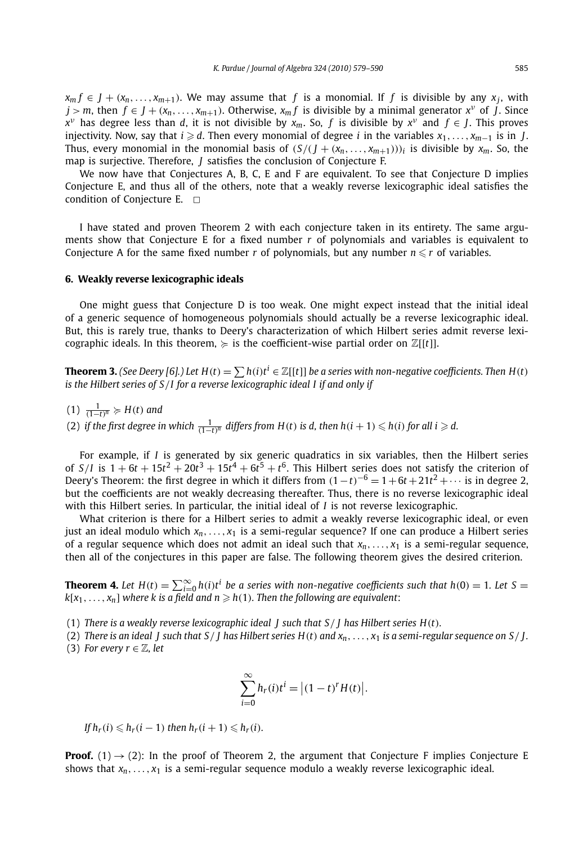$x_m f \in J + (x_n, \ldots, x_{m+1})$ . We may assume that *f* is a monomial. If *f* is divisible by any  $x_i$ , with  $j > m$ , then  $f \in J + (x_n, \ldots, x_{m+1})$ . Otherwise,  $x_m f$  is divisible by a minimal generator  $x^v$  of *J*. Since  $x^{\nu}$  has degree less than *d*, it is not divisible by *x<sub>m</sub>*. So, *f* is divisible by  $x^{\nu}$  and  $f \in J$ . This proves  $i$ njectivity. Now, say that *i*  $\geqslant d$ . Then every monomial of degree *i* in the variables  $x_1, \ldots, x_{m-1}$  is in *J*. Thus, every monomial in the monomial basis of  $(S/(J + (x_n, \ldots, x_{m+1})))$ *i* is divisible by  $x_m$ . So, the map is surjective. Therefore, *J* satisfies the conclusion of Conjecture F.

We now have that Conjectures A, B, C, E and F are equivalent. To see that Conjecture D implies Conjecture E, and thus all of the others, note that a weakly reverse lexicographic ideal satisfies the condition of Conjecture E.  $\Box$ 

I have stated and proven Theorem 2 with each conjecture taken in its entirety. The same arguments show that Conjecture E for a fixed number *r* of polynomials and variables is equivalent to Conjecture A for the same fixed number *r* of polynomials, but any number  $n \le r$  of variables.

#### **6. Weakly reverse lexicographic ideals**

One might guess that Conjecture D is too weak. One might expect instead that the initial ideal of a generic sequence of homogeneous polynomials should actually be a reverse lexicographic ideal. But, this is rarely true, thanks to Deery's characterization of which Hilbert series admit reverse lexicographic ideals. In this theorem,  $\succeq$  is the coefficient-wise partial order on  $\mathbb{Z}[[t]]$ .

**Theorem 3.** (See Deery [6].) Let  $H(t) = \sum h(i)t^{i} \in \mathbb{Z}[[t]]$  be a series with non-negative coefficients. Then  $H(t)$ *is the Hilbert series of S/I for a reverse lexicographic ideal I if and only if*

- $(1)$   $\frac{1}{(1-t)^n}$  ≽  $H(t)$  and
- (2) if the first degree in which  $\frac{1}{(1-t)^n}$  differs from  $H(t)$  is d, then  $h(i + 1) \leq h(i)$  for all  $i \geq d$ .

For example, if *I* is generated by six generic quadratics in six variables, then the Hilbert series of  $S/I$  is  $1 + 6t + 15t^2 + 20t^3 + 15t^4 + 6t^5 + t^6$ . This Hilbert series does not satisfy the criterion of Deery's Theorem: the first degree in which it differs from  $(1-t)^{-6} = 1+6t+21t^2+\cdots$  is in degree 2, but the coefficients are not weakly decreasing thereafter. Thus, there is no reverse lexicographic ideal with this Hilbert series. In particular, the initial ideal of *I* is not reverse lexicographic.

What criterion is there for a Hilbert series to admit a weakly reverse lexicographic ideal, or even just an ideal modulo which *xn,..., x*<sup>1</sup> is a semi-regular sequence? If one can produce a Hilbert series of a regular sequence which does not admit an ideal such that  $x_n, \ldots, x_1$  is a semi-regular sequence, then all of the conjectures in this paper are false. The following theorem gives the desired criterion.

**Theorem 4.** Let  $H(t) = \sum_{i=0}^{\infty} h(i)t^i$  be a series with non-negative coefficients such that  $h(0) = 1$ . Let  $S =$  $k[x_1, \ldots, x_n]$  where k is a field and  $n \ge h(1)$ . Then the following are equivalent:

(1) *There is a weakly reverse lexicographic ideal J such that S/ J has Hilbert series H(t).*

(2) *There is an ideal J such that S/ J has Hilbert series H(t) and xn,..., x*<sup>1</sup> *is a semi-regular sequence on S/ J .* (3) *For every*  $r \in \mathbb{Z}$ *, let* 

$$
\sum_{i=0}^{\infty} h_r(i)t^i = \left| (1-t)^r H(t) \right|.
$$

*If*  $h_r(i)$  ≤  $h_r(i-1)$  *then*  $h_r(i+1)$  ≤  $h_r(i)$ *.* 

**Proof.** (1)  $\rightarrow$  (2): In the proof of Theorem 2, the argument that Conjecture F implies Conjecture E shows that  $x_n, \ldots, x_1$  is a semi-regular sequence modulo a weakly reverse lexicographic ideal.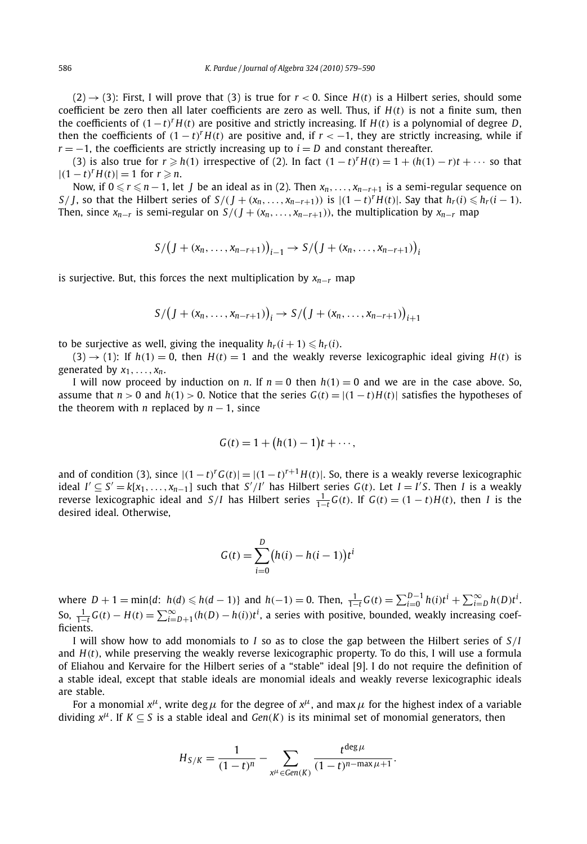$(2) \rightarrow (3)$ : First, I will prove that (3) is true for  $r < 0$ . Since  $H(t)$  is a Hilbert series, should some coefficient be zero then all later coefficients are zero as well. Thus, if *H(t)* is not a finite sum, then the coefficients of  $(1-t)^{r}H(t)$  are positive and strictly increasing. If  $H(t)$  is a polynomial of degree *D*, then the coefficients of  $(1 - t)^{r}H(t)$  are positive and, if  $r < -1$ , they are strictly increasing, while if  $r = -1$ , the coefficients are strictly increasing up to  $i = D$  and constant thereafter.

(3) is also true for  $r \geq h(1)$  irrespective of (2). In fact  $(1-t)^{r}H(t) = 1 + (h(1) - r)t + \cdots$  so that  $|(1-t)^r H(t)| = 1$  for  $r \ge n$ .

Now, if  $0 \le r \le n-1$ , let *J* be an ideal as in (2). Then  $x_n, \ldots, x_{n-r+1}$  is a semi-regular sequence on S/J, so that the Hilbert series of  $S/(J + (x_n, ..., x_{n-r+1}))$  is  $|(1-t)^r H(t)|$ . Say that  $h_r(i) \leq h_r(i-1)$ . Then, since  $x_{n-r}$  is semi-regular on  $S/(J + (x_n, \ldots, x_{n-r+1}))$ , the multiplication by  $x_{n-r}$  map

$$
S/(J+(x_n,...,x_{n-r+1}))_{i-1} \rightarrow S/(J+(x_n,...,x_{n-r+1}))_i
$$

is surjective. But, this forces the next multiplication by  $x_{n-r}$  map

$$
S/(J+(x_n,...,x_{n-r+1}))_i \rightarrow S/(J+(x_n,...,x_{n-r+1}))_{i+1}
$$

to be surjective as well, giving the inequality  $h_r(i+1) \leq h_r(i)$ .

 $(3) \rightarrow (1)$ : If  $h(1) = 0$ , then  $H(t) = 1$  and the weakly reverse lexicographic ideal giving  $H(t)$  is generated by  $x_1, \ldots, x_n$ .

I will now proceed by induction on *n*. If  $n = 0$  then  $h(1) = 0$  and we are in the case above. So, assume that  $n > 0$  and  $h(1) > 0$ . Notice that the series  $G(t) = |(1-t)H(t)|$  satisfies the hypotheses of the theorem with *n* replaced by  $n - 1$ , since

$$
G(t) = 1 + (h(1) - 1)t + \cdots,
$$

and of condition (3), since  $|(1-t)^{r}G(t)| = |(1-t)^{r+1}H(t)|$ . So, there is a weakly reverse lexicographic *ideal I*<sup> $′$ </sup> ⊆ *S*<sup> $′$ </sup> =  $k[x_1, ..., x_{n-1}]$  such that *S<sup>'</sup>*/*I*<sup>'</sup> has Hilbert series *G*(*t*). Let *I* = *I*<sup>'</sup>*S*. Then *I* is a weakly reverse lexicographic ideal and  $S/I$  has Hilbert series  $\frac{1}{1-t}G(t)$ . If  $G(t) = (1-t)H(t)$ , then I is the desired ideal. Otherwise,

$$
G(t) = \sum_{i=0}^{D} (h(i) - h(i-1))t^{i}
$$

where  $D + 1 = \min\{d: h(d) \le h(d-1)\}\$  and  $h(-1) = 0$ . Then,  $\frac{1}{1-t}G(t) = \sum_{i=0}^{D-1} h(i)t^{i} + \sum_{i=D}^{\infty} h(D)t^{i}$ . So,  $\frac{1}{1-t}G(t) - H(t) = \sum_{i=D+1}^{\infty} (h(D) - h(i))t^i$ , a series with positive, bounded, weakly increasing coefficients.

I will show how to add monomials to *I* so as to close the gap between the Hilbert series of *S/I* and *H(t)*, while preserving the weakly reverse lexicographic property. To do this, I will use a formula of Eliahou and Kervaire for the Hilbert series of a "stable" ideal [9]. I do not require the definition of a stable ideal, except that stable ideals are monomial ideals and weakly reverse lexicographic ideals are stable.

For a monomial  $x^{\mu}$ , write deg  $\mu$  for the degree of  $x^{\mu}$ , and max  $\mu$  for the highest index of a variable dividing  $x^{\mu}$ . If  $K \subseteq S$  is a stable ideal and *Gen(K)* is its minimal set of monomial generators, then

$$
H_{S/K} = \frac{1}{(1-t)^n} - \sum_{x^{\mu} \in Gen(K)} \frac{t^{\deg \mu}}{(1-t)^{n-\max \mu+1}}.
$$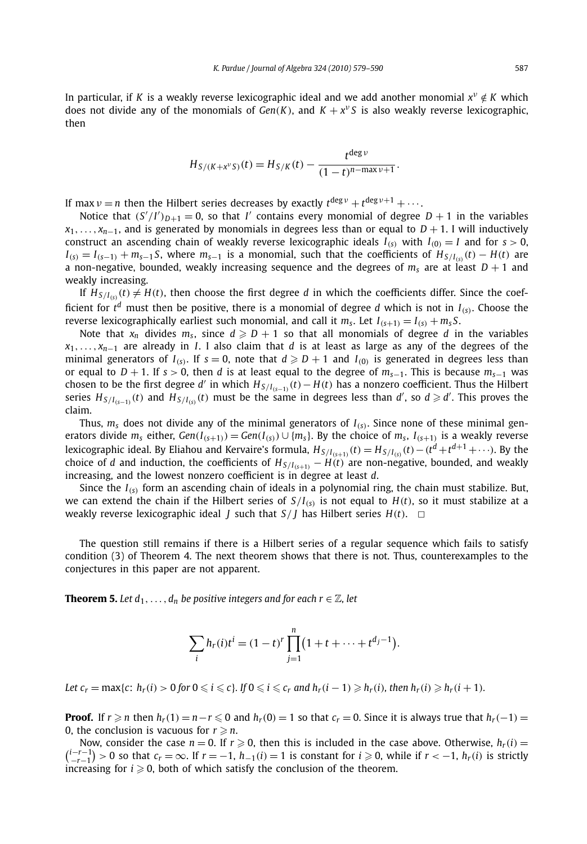In particular, if *K* is a weakly reverse lexicographic ideal and we add another monomial  $x^v \notin K$  which does not divide any of the monomials of  $Gen(K)$ , and  $K + x<sup>v</sup>S$  is also weakly reverse lexicographic, then

$$
H_{S/(K+x^{\nu}S)}(t) = H_{S/K}(t) - \frac{t^{\deg \nu}}{(1-t)^{n-\max \nu+1}}.
$$

If max  $\nu = n$  then the Hilbert series decreases by exactly  $t^{\deg \nu} + t^{\deg \nu+1} + \cdots$ .

Notice that  $(S'/I')_{D+1} = 0$ , so that *I'* contains every monomial of degree  $D + 1$  in the variables  $x_1, \ldots, x_{n-1}$ , and is generated by monomials in degrees less than or equal to *D* + 1. I will inductively construct an ascending chain of weakly reverse lexicographic ideals  $I_{(s)}$  with  $I_{(0)} = I$  and for  $s > 0$ ,  $I_{(s)} = I_{(s-1)} + m_{s-1}S$ , where  $m_{s-1}$  is a monomial, such that the coefficients of  $H_{S/I(s)}(t) - H(t)$  are a non-negative, bounded, weakly increasing sequence and the degrees of  $m_s$  are at least  $D + 1$  and weakly increasing.

If  $H_{S/I(s)}(t) \neq H(t)$ , then choose the first degree *d* in which the coefficients differ. Since the coefficient for  $t^d$  must then be positive, there is a monomial of degree *d* which is not in  $I_{(s)}$ . Choose the reverse lexicographically earliest such monomial, and call it  $m_s$ . Let  $I_{(s+1)} = I_{(s)} + m_s S$ .

Note that  $x_n$  divides  $m_s$ , since  $d \ge D+1$  so that all monomials of degree *d* in the variables *x*<sub>1</sub>*,..., x<sub>n</sub>*−1 are already in *I*. I also claim that *d* is at least as large as any of the degrees of the minimal generators of  $I_{(s)}$ . If  $s = 0$ , note that  $d \geqslant D + 1$  and  $I_{(0)}$  is generated in degrees less than or equal to *D* + 1. If *s >* 0, then *d* is at least equal to the degree of *ms*−1. This is because *ms*−<sup>1</sup> was chosen to be the first degree *d'* in which  $H_{S/I(s-1)}(t) - H(t)$  has a nonzero coefficient. Thus the Hilbert series  $H_{S/I_{(S-1)}}(t)$  and  $H_{S/I_{(S)}}(t)$  must be the same in degrees less than d', so  $d \ge d'$ . This proves the claim.

Thus,  $m<sub>s</sub>$  does not divide any of the minimal generators of  $I<sub>(s)</sub>$ . Since none of these minimal generators divide  $m_s$  either,  $Gen(I_{(s+1)}) = Gen(I_{(s)}) \cup \{m_s\}$ . By the choice of  $m_s$ ,  $I_{(s+1)}$  is a weakly reverse lexicographic ideal. By Eliahou and Kervaire's formula,  $H_{S/I_{(S+1)}}(t)=H_{S/I_{(S)}}(t)-(t^d+t^{d+1}+\cdots)$ . By the choice of *d* and induction, the coefficients of  $H_{S/I_{(s+1)}} - H(t)$  are non-negative, bounded, and weakly increasing, and the lowest nonzero coefficient is in degree at least *d*.

Since the *I(s)* form an ascending chain of ideals in a polynomial ring, the chain must stabilize. But, we can extend the chain if the Hilbert series of  $S/I_{(s)}$  is not equal to  $H(t)$ , so it must stabilize at a weakly reverse lexicographic ideal *J* such that  $S/I$  has Hilbert series  $H(t)$ .  $\Box$ 

The question still remains if there is a Hilbert series of a regular sequence which fails to satisfy condition (3) of Theorem 4. The next theorem shows that there is not. Thus, counterexamples to the conjectures in this paper are not apparent.

**Theorem 5.** Let  $d_1, \ldots, d_n$  be positive integers and for each  $r \in \mathbb{Z}$ , let

$$
\sum_{i} h_r(i) t^i = (1-t)^r \prod_{j=1}^n (1+t+\cdots+t^{d_j-1}).
$$

Let  $c_r = \max\{c: h_r(i) > 0$  for  $0 \leq i \leq c\}$ . If  $0 \leq i \leq c_r$  and  $h_r(i-1) \geq h_r(i)$ , then  $h_r(i) \geq h_r(i+1)$ .

**Proof.** If  $r \ge n$  then  $h_r(1) = n - r \le 0$  and  $h_r(0) = 1$  so that  $c_r = 0$ . Since it is always true that  $h_r(-1) =$ 0, the conclusion is vacuous for  $r \geq n$ .

Now, consider the case  $n = 0$ . If  $r \ge 0$ , then this is included in the case above. Otherwise,  $h_r(i) =$  $\binom{i-r-1}{-r-1} > 0$  so that  $c_r = \infty$ . If  $r = -1$ ,  $h_{-1}(i) = 1$  is constant for  $i \ge 0$ , while if  $r < -1$ ,  $h_r(i)$  is strictly increasing for  $i \geqslant 0$ , both of which satisfy the conclusion of the theorem.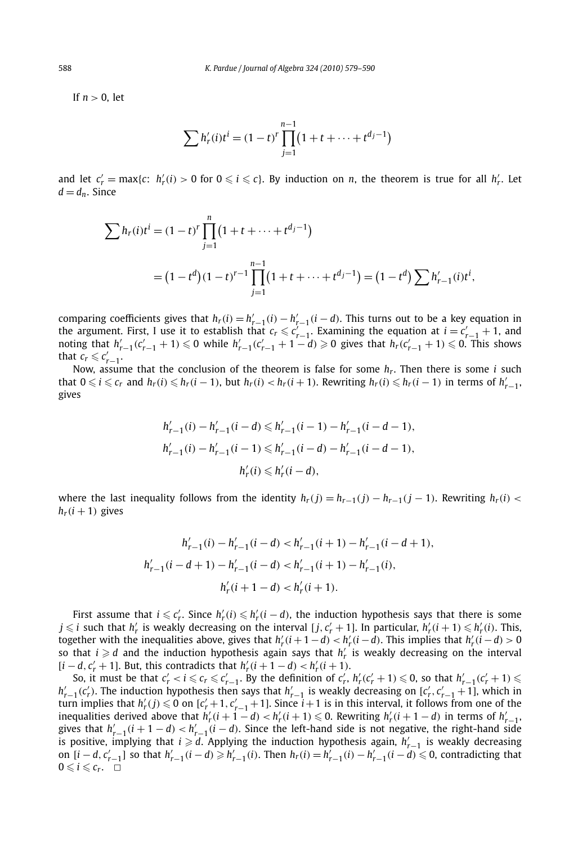If *n >* 0, let

$$
\sum h'_r(i)t^i = (1-t)^r \prod_{j=1}^{n-1} (1+t+\cdots+t^{d_j-1})
$$

and let  $c'_r = \max\{c: h'_r(i) > 0 \text{ for } 0 \leq i \leq c\}$ . By induction on *n*, the theorem is true for all  $h'_r$ . Let  $d = d_n$ . Since

$$
\sum h_r(i)t^i = (1-t)^r \prod_{j=1}^n (1+t+\dots+t^{d_j-1})
$$
  
=  $(1-t^d)(1-t)^{r-1} \prod_{j=1}^{n-1} (1+t+\dots+t^{d_j-1}) = (1-t^d) \sum h'_{r-1}(i)t^i,$ 

comparing coefficients gives that  $h_r(i) = h'_{r-1}(i) - h'_{r-1}(i - d)$ . This turns out to be a key equation in the argument. First, I use it to establish that  $c_r \leq c'_{r-1}$ . Examining the equation at  $i = c'_{r-1} + 1$ , and noting that  $h'_{r-1}(c'_{r-1} + 1) \leq 0$  while  $h'_{r-1}(c'_{r-1} + 1 - d) \geq 0$  gives that  $h_r(c'_{r-1} + 1) \leq 0$ . This s that  $c_r \leqslant c'_{r-1}$ .

Now, assume that the conclusion of the theorem is false for some *hr*. Then there is some *i* such that  $0 \leq i \leq c_r$  and  $h_r(i) \leq h_r(i-1)$ , but  $h_r(i) < h_r(i+1)$ . Rewriting  $h_r(i) \leq h_r(i-1)$  in terms of  $h'_{r-1}$ , gives

$$
\begin{aligned} h'_{r-1}(i)-h'_{r-1}(i-d) &\leq h'_{r-1}(i-1)-h'_{r-1}(i-d-1),\\ h'_{r-1}(i)-h'_{r-1}(i-1) &\leq h'_{r-1}(i-d)-h'_{r-1}(i-d-1),\\ h'_{r}(i) &\leq h'_{r}(i-d), \end{aligned}
$$

where the last inequality follows from the identity  $h_r(j) = h_{r-1}(j) - h_{r-1}(j-1)$ . Rewriting  $h_r(i) <$  $h_r(i+1)$  gives

$$
\begin{aligned} h'_{r-1}(i)-h'_{r-1}(i-d) &< h'_{r-1}(i+1)-h'_{r-1}(i-d+1), \\ h'_{r-1}(i-d+1)-h'_{r-1}(i-d) &< h'_{r-1}(i+1)-h'_{r-1}(i), \\ h'_{r}(i+1-d) &< h'_{r}(i+1). \end{aligned}
$$

First assume that  $i \leq c'_r$ . Since  $h'_r(i) \leq h'_r(i-d)$ , the induction hypothesis says that there is some  $j \leqslant i$  such that  $h'_r$  is weakly decreasing on the interval  $[j, c'_r + 1]$ . In particular,  $h'_r(i + 1) \leqslant h'_r(i)$ . This, together with the inequalities above, gives that  $h'_r(i+1-d) < h'_r(i-d)$ . This implies that  $h'_r(i-d) > 0$ so that  $i \geq d$  and the induction hypothesis again says that  $h'_r$  is weakly decreasing on the interval  $[i - d, c'_r + 1]$ . But, this contradicts that  $h'_r(i + 1 - d) < h'_r(i + 1)$ .

So, it must be that  $c'_r < i \leqslant c_r \leqslant c'_{r-1}$ . By the definition of  $c'_r$ ,  $h'_r(c'_r + 1) \leqslant 0$ , so that  $h'_{r-1}(c'_r + 1) \leqslant$ *h*<sup>'</sup><sub>*r*</sub>−1(*c*<sup>'</sup><sub>*r*</sub></sub>). The induction hypothesis then says that *h*<sup>'</sup><sub>*r*</sub>−1</sub> is weakly decreasing on [*c*<sup>'</sup><sub>*r*</sub>, *c*<sup>'</sup><sub>*r*−1</sub> +1], which in  $\tan \frac{1}{r}$  furn implies that  $h'_r(j) \leq 0$  on  $[c'_r+1, c'_{r-1}+1]$ . Since  $i+1$  is in this interval, it follows from one of the inequalities derived above that  $h'_r(i+1-d) < h'_r(i+1) \leq 0$ . Rewriting  $h'_r(i+1-d)$  in terms of  $h'_{r-1}$ , gives that  $h'_{r-1}(i + 1 - d) < h'_{r-1}(i - d)$ . Since the left-hand side is not negative, the right-hand side is positive, implying that *i*  $\geq d$ . Applying the induction hypothesis again,  $h'_{r-1}$  is weakly decreasing on  $[i - d, c'_{r-1}]$  so that  $h'_{r-1}(i - d) \geq h'_{r-1}(i)$ . Then  $h_r(i) = h'_{r-1}(i) - h'_{r-1}(i - d) \leq 0$ , contradicting that  $0 \leq i \leq c_r$ .  $\Box$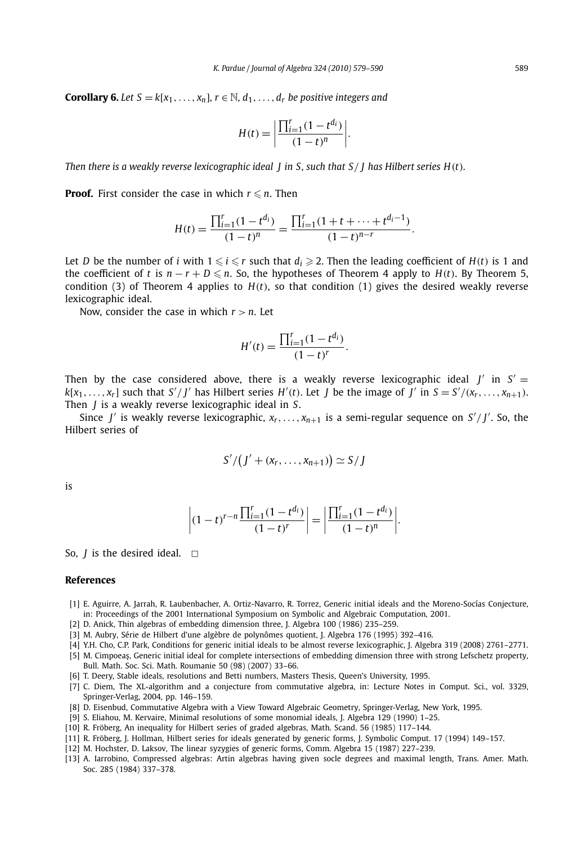**Corollary 6.** Let  $S = k[x_1, \ldots, x_n]$ ,  $r \in \mathbb{N}$ ,  $d_1, \ldots, d_r$  be positive integers and

$$
H(t) = \left| \frac{\prod_{i=1}^{r} (1 - t^{d_i})}{(1 - t)^n} \right|.
$$

*Then there is a weakly reverse lexicographic ideal J in S, such that S/ J has Hilbert series H(t).*

**Proof.** First consider the case in which  $r \le n$ . Then

$$
H(t) = \frac{\prod_{i=1}^{r} (1 - t^{d_i})}{(1 - t)^n} = \frac{\prod_{i=1}^{r} (1 + t + \dots + t^{d_i - 1})}{(1 - t)^{n - r}}.
$$

Let *D* be the number of *i* with  $1 \le i \le r$  such that  $d_i \ge 2$ . Then the leading coefficient of  $H(t)$  is 1 and the coefficient of *t* is  $n - r + D \le n$ . So, the hypotheses of Theorem 4 apply to  $H(t)$ . By Theorem 5, condition (3) of Theorem 4 applies to  $H(t)$ , so that condition (1) gives the desired weakly reverse lexicographic ideal.

Now, consider the case in which  $r > n$ . Let

$$
H'(t) = \frac{\prod_{i=1}^{r} (1 - t^{d_i})}{(1 - t)^r}.
$$

Then by the case considered above, there is a weakly reverse lexicographic ideal  $J'$  in  $S' =$  $k[x_1,...,x_r]$  such that  $S'/J'$  has Hilbert series  $H'(t)$ . Let  $J$  be the image of  $J'$  in  $S = S'/(x_r,...,x_{n+1})$ . Then *J* is a weakly reverse lexicographic ideal in *S*.

Since *J'* is weakly reverse lexicographic,  $x_r$ , ...,  $x_{n+1}$  is a semi-regular sequence on  $S'/J'$ . So, the Hilbert series of

$$
S'/(J'+(x_r,\ldots,x_{n+1}))\simeq S/J
$$

is

$$
\left| (1-t)^{r-n} \frac{\prod_{i=1}^r (1-t^{d_i})}{(1-t)^r} \right| = \left| \frac{\prod_{i=1}^r (1-t^{d_i})}{(1-t)^n} \right|.
$$

So,  *is the desired ideal.*  $\Box$ 

### **References**

- [1] E. Aguirre, A. Jarrah, R. Laubenbacher, A. Ortiz-Navarro, R. Torrez, Generic initial ideals and the Moreno-Socías Conjecture, in: Proceedings of the 2001 International Symposium on Symbolic and Algebraic Computation, 2001.
- [2] D. Anick, Thin algebras of embedding dimension three, J. Algebra 100 (1986) 235–259.
- [3] M. Aubry, Série de Hilbert d'une algèbre de polynômes quotient, J. Algebra 176 (1995) 392–416.
- [4] Y.H. Cho, C.P. Park, Conditions for generic initial ideals to be almost reverse lexicographic, J. Algebra 319 (2008) 2761–2771.
- [5] M. Cimpoeaș, Generic initial ideal for complete intersections of embedding dimension three with strong Lefschetz property, Bull. Math. Soc. Sci. Math. Roumanie 50 (98) (2007) 33–66.
- [6] T. Deery, Stable ideals, resolutions and Betti numbers, Masters Thesis, Queen's University, 1995.
- [7] C. Diem, The XL-algorithm and a conjecture from commutative algebra, in: Lecture Notes in Comput. Sci., vol. 3329, Springer-Verlag, 2004, pp. 146–159.
- [8] D. Eisenbud, Commutative Algebra with a View Toward Algebraic Geometry, Springer-Verlag, New York, 1995.
- [9] S. Eliahou, M. Kervaire, Minimal resolutions of some monomial ideals, J. Algebra 129 (1990) 1–25.
- [10] R. Fröberg, An inequality for Hilbert series of graded algebras, Math. Scand. 56 (1985) 117–144.
- [11] R. Fröberg, J. Hollman, Hilbert series for ideals generated by generic forms, J. Symbolic Comput. 17 (1994) 149–157.
- [12] M. Hochster, D. Laksov, The linear syzygies of generic forms, Comm. Algebra 15 (1987) 227–239.
- [13] A. Iarrobino, Compressed algebras: Artin algebras having given socle degrees and maximal length, Trans. Amer. Math. Soc. 285 (1984) 337–378.